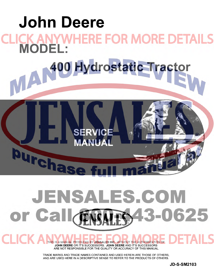

## **JENSALES.COM** 0625 or Call 3-

THIS IS A MANUAL PRODUCED BY JENSALES INC. WITHOUT THE AUTHORIZATION OF **JOHN DEERE** OR IT'S SUCCESSORS. **JOHN DEERE** AND IT'S SUCCESSORS ARE NOT RESPONSIBLE FOR THE QUALITY OR ACCURACY OF THIS MANUAL.

CHICKA

TRADE MARKS AND TRADE NAMES CONTAINED AND USED HEREIN ARE THOSE OF OTHERS, AND ARE USED HERE IN A DESCRIPTIVE SENSE TO REFER TO THE PRODUCTS OF OTHERS.

JD-S-SM2103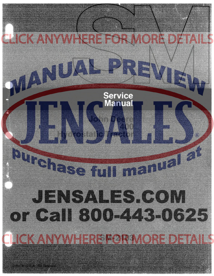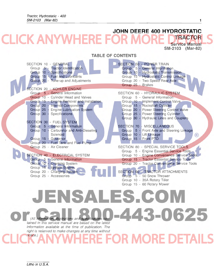#### **[JOHN DEERE 400 HYDROSTATIC](http://www.jensales.com/products/john-deere-400-lawn-garden-tractor-service-manual.html)  KANY**  $\overline{\phantom{a}}$ **TRACTOR**  E **Service Manual SM-2103 (Mar-82)**

### **TABLE OF CONTENTS**

| SECTION 10 - GENERAL                                              | SECTION 50 - POWER TRAIN                                   |
|-------------------------------------------------------------------|------------------------------------------------------------|
| Group 5 - Tractor Identification                                  | Group 5 - General Information                              |
| Group 10 - Specifications                                         | Group 10 - Hydrostatic Transmission                        |
| Group 15 - Fuel and Lubricants                                    | Group 15 - Hydrostatic Control Linkage                     |
| Group 20 - Tune-up and Adjustments                                | Group 20 - Two Speed Rear Axle                             |
|                                                                   | Group 25 - Brakes                                          |
| SECTION 20 - KOHLER ENGINE                                        |                                                            |
| Group 5 - General Information                                     | SECTION 60 - HYDRAULIC SYSTEM                              |
| Group 10 - Cylinder Head and Valves                               | Group 5 - General Information                              |
| Group 15 - Engine Removal and Installation                        | Group 10 - Implement Control Valve                         |
| Group 20 - Internal Components                                    | Group 15 - Rockshaft Cylinder                              |
| Group 25 - Engine Lubrication System                              | Group 20 - Power Steering Control Valve                    |
| Group 30 - Specifications                                         | Group 25 - Power Steering Cylinder                         |
| SECTION 30 - FUEL SYSTEM                                          | Group 30 - Hydraulic Lines and Couplers                    |
| Group 5 - General Information                                     | SECTION 70 - MISCELLANEOUS                                 |
| Group 10 - Carburetor and Anti-Dieseling                          | Group   5 - Front Axle and Steering Linkage                |
| Solenoid                                                          | Group 10 - Lift Linkage<br>(R)                             |
| Group 15 - Governor                                               | Group 15 - Front PTO                                       |
| Group 20 - Fuel Tank and Fuel Pump                                |                                                            |
| Group 25 - Air Cleaner                                            | SECTION 80 - SPECIAL SERVICE TOOLS                         |
|                                                                   | Group 5 - Engine Essential Service Tools                   |
| SECTION 40 - ELECTRICAL SYSTEM                                    | Group 10 - Engine Convenience Service Tools                |
| Group 5 - General Information                                     | Group 15 - Tractor Essential Service Tools                 |
| Group 10 - Cranking System<br>Group 15 - Ignition System          | Group 20 - Tractor Convenience Service Tools               |
|                                                                   |                                                            |
| Group 20 - Charging System                                        | SECTION 90 - TRACTOR ATTACHMENTS                           |
| Group 25 - Accessories                                            | Group 5 - 50 Snow Thrower                                  |
|                                                                   | Group 10 - 35A Rotary Tiller<br>Group 15 - 60 Rotary Mower |
|                                                                   |                                                            |
|                                                                   |                                                            |
| JENSALES.COM                                                      |                                                            |
|                                                                   |                                                            |
|                                                                   |                                                            |
|                                                                   |                                                            |
|                                                                   |                                                            |
| (All information, illustrations and specifications con-           |                                                            |
| tained in this service manual are based on the latest             |                                                            |
| information available at the time of publication. The             |                                                            |
| right is reserved to make changes at any time without<br>notice.) |                                                            |
|                                                                   |                                                            |
|                                                                   |                                                            |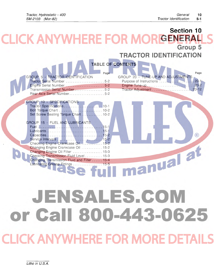#### **Section 10 CK ANYWE HERE FOR GENERAL Group 5 TRACTOR IDENTIFICATION**

|                                                                         | .                                          |
|-------------------------------------------------------------------------|--------------------------------------------|
|                                                                         | TABLE OF CONTENTS                          |
| Page<br><b>GROUP 5 - TRACTOR IDENTIFICATION</b>                         | Page<br>GROUP 20 - TUNE-UP AND ADJUSTMENTS |
| Tractor Serial Number 5-2                                               |                                            |
| Engine Serial Number 5-2                                                |                                            |
| Transmission Serial Number5-2                                           |                                            |
| Rear Axle Serial Number5-2                                              |                                            |
| GROUP 10 - SPECIFICATIONS                                               |                                            |
| Tractor Specifications          10-1                                    |                                            |
|                                                                         |                                            |
| Set Screw Seating Torque Chart  10-2                                    |                                            |
|                                                                         |                                            |
| GROUP 15 - FUEL AND LUBRICANTS                                          |                                            |
|                                                                         |                                            |
|                                                                         | (R                                         |
|                                                                         |                                            |
| Checking Engine Crankcase Oil 15-2                                      |                                            |
| Changing Engine Crankcase Oil  15-2<br>Changing Engine Oil Filter  15-3 |                                            |
| Checking Transmission Fluid Level  15-3                                 |                                            |
| Changing Transmission Fluid and Filter  15-4                            |                                            |
| Lubricating Grease Fittings  15-5                                       |                                            |
|                                                                         |                                            |

# JENSALES.COM or Call 800-443-0625

LICK ANYWHERE FOR MORE DE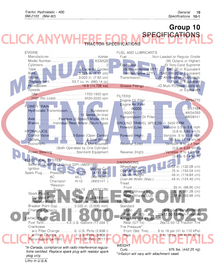#### $\bar{z}$ **Group 10 SPECIFICATIONS**   $\zeta$  A **TRACTOR SPECIFICATIONS**

| <b>ENGINE</b>                                                                                                     | FUEL AND LUBRICANTS                                                |
|-------------------------------------------------------------------------------------------------------------------|--------------------------------------------------------------------|
| ManufacturerKohler                                                                                                | Fuel Non-Leaded or Regular Grade                                   |
|                                                                                                                   | (85 Octane or Higher)                                              |
|                                                                                                                   | Crankcase JD Torq-Gard Supreme                                     |
|                                                                                                                   | (Summer-Above 32°F) SAE 30 or Equivalent                           |
|                                                                                                                   | (Winter-Below 32°F). . SAE 5W-20 or Equivalent                     |
|                                                                                                                   | Transmission. JD All-Weather Hydrostatic                           |
| Displacement53.7 cu. in. (880.14 cc)                                                                              | Fluid or Equivalent<br>Grease Fittings  JD Multi-Purpose Lubricant |
| <b>Speeds</b>                                                                                                     | or Equivalent                                                      |
|                                                                                                                   |                                                                    |
| High (No Load) 3400-3500 rpm                                                                                      | <b>FILTERS</b>                                                     |
|                                                                                                                   | Engine Oil Filter  AM34770                                         |
| POWER TRAIN                                                                                                       | Engine Air Filter                                                  |
| Hydrostatic Transmission Sundstrand                                                                               | $(80001 -$<br>)AM34093                                             |
| 15 Series (In-line)                                                                                               | Transmission Oil FilterAM38441                                     |
| Axle Peerless (2-Speed) Model 2514                                                                                |                                                                    |
| Brakes. Individual Rear Wheel (Drum-Type)                                                                         | GROUND TRAVEL SPEEDS @ 3400 RPM                                    |
| <b>HYDRAULICS</b>                                                                                                 | Forward (Low)  Variable 0.5 to 5.6 mph<br>(0.8 to 8.85 km/h)       |
| Control Valve 3-Spool (Open Center)                                                                               | Forward (High) Variable .5 to 10.8 mph                             |
|                                                                                                                   | $(0.8 \text{ to } 17.19 \text{ km/h})$                             |
|                                                                                                                   | Reverse (Low)  Variable .5 to 2.1 mph                              |
| (Both Operated by One Cylinder)                                                                                   | (0.8 to 3.22 km/h)                                                 |
| Power Steering Standard Equipment                                                                                 | Reverse (High) Variable .5 to 4.0 mph                              |
|                                                                                                                   | $(0.8 \text{ to } 6.44 \text{ km/h})$                              |
| ELECTRICAL SYSTEM                                                                                                 | <b>DIMENSIONS</b>                                                  |
| Battery 12-Volt (BCI Group 22F) (AM31186)                                                                         |                                                                    |
| Ignition  Battery-Coil<br>Spark Plug Prestolite 14-L7B<br>(AT17208)                                               |                                                                    |
| $45-L$<br>(AM1535T)<br>AC.                                                                                        | Over-All Height  46 in. (116.84 cm)                                |
| Champion<br>$H-10$<br>(AM514T)                                                                                    | Over-All Width (Max.). 49 in. (124.46 cm)                          |
| *Resistor-                                                                                                        | Tread                                                              |
| <b>BH-10</b><br>(AM37129)<br><b>Type</b>                                                                          | Front  35 in. (88.90 cm)                                           |
| Spark Plug Gap                                                                                                    |                                                                    |
|                                                                                                                   |                                                                    |
|                                                                                                                   | <b>TIRES</b>                                                       |
| Breaker Point Gap 0.020 in. (0.508) mm)                                                                           | Standard                                                           |
|                                                                                                                   | Rear (GT-12) 26x12.00-12 High-Flotation                            |
| <b>CAPACITIES</b>                                                                                                 | Accessory (Field Installed)                                        |
| Fuel Tank<br>$.4.5$ U.S. Gallons (17.034)                                                                         | Rear (GT-14)  26x12.00-12 Traction Tire                            |
| Crankcase                                                                                                         | Tire Pressure*                                                     |
| w/o Filter Change  6. U.S. Pints (2.838 l)                                                                        | Front (Std. Tire) 6 to 16 psi (41 to 110 kPa)                      |
| w/Filter Change 771 P. 717 U.S. Pints (3.308 I)                                                                   |                                                                    |
| Transmission (w/filter) \//\//11 U.S. Pints (5.17 I)                                                              |                                                                    |
|                                                                                                                   | <b>WEIGHT</b>                                                      |
| *In Canada, compliance with radio interference regula-<br>tions certified. Replace spark plug with resistor spark |                                                                    |
| plug only.                                                                                                        | *Inflation will vary with attachment used.                         |
| Litho in U.S.A.                                                                                                   |                                                                    |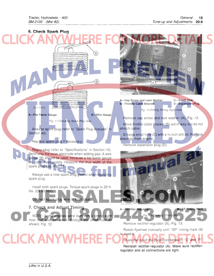

Reinstall rectifier-regulator (A). Make sure rectifierregulator and all connections are tight.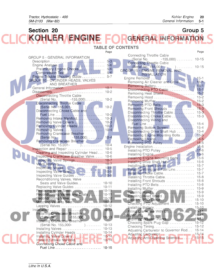| <b>Section 20</b>                                                       |           | Group 5                                       |                    |
|-------------------------------------------------------------------------|-----------|-----------------------------------------------|--------------------|
| KOHLER ENGINE FO                                                        |           | <b>PGENERAL INFORMATION</b>                   |                    |
|                                                                         |           | <b>TABLE OF CONTENTS</b>                      |                    |
|                                                                         | Page      |                                               | Page               |
|                                                                         |           | Connecting Throttle Cable                     |                    |
| <b>GROUP 5 - GENERAL INFORMATION</b>                                    |           | (Serial No. -155,000)  10-15                  |                    |
|                                                                         |           | <b>Connecting Throttle Cable</b>              |                    |
| Preliminary Engine Checks 5-6                                           |           |                                               |                    |
|                                                                         |           | GROUP 15 - ENGINE REMOVAL AND<br>INSTALLATION |                    |
| Engine Trouble Shooting Guide  5-7                                      |           |                                               |                    |
| GROUP 10 - CYLINDER HEADS, VALVES                                       |           | Removing Air Cleaner and Grille 15-1          |                    |
| AND BREATHER                                                            |           |                                               |                    |
|                                                                         |           | Disconnecting PTO Cable 15-1                  |                    |
| <b>Disconnecting Throttle Cable</b>                                     |           | Removing Heat Shield 15-2                     |                    |
| (Serial No. -155,000) 10-2                                              |           |                                               |                    |
| Disconnecting Throttle Cable                                            |           |                                               |                    |
| (Serial No. 155,001-<br>(Serial No. 155,001-<br>(Serial No. 155,001-    |           | Removing Front Shrouds  15-3                  |                    |
| Disconnecting Choke Cable and                                           |           | Disconnecting Throttle Cable  15-3            |                    |
| Removing Intake Manifold. 10-3                                          |           | Disconnecting Choke Cable  15-3               |                    |
| Removing Valve Covers  10-3                                             |           | Disconnecting Wiring and                      |                    |
| Removing Cylinder Heads  10-3                                           |           | Removing Bottom Screen 15-4                   |                    |
|                                                                         |           | Disconnecting Drive Shaft Hub  15-4           |                    |
| Removing Crankcase Breather                                             |           | Removing Engine Mounting Bolts 15-5           |                    |
| (Serial No.                                                             |           |                                               |                    |
| <b>Removing Crankcase Breather</b>                                      |           | Removing PTO Pulley  15-5                     |                    |
|                                                                         |           |                                               |                    |
| Cleaning and Inspecting Cylinder Head 10-6                              |           |                                               |                    |
| Inspecting Crankcase Breather Valve 10-6                                |           | Installing Engine Mounting Bolts 15-6         |                    |
| Inspecting Valve Springs 10-7                                           |           |                                               |                    |
|                                                                         |           | Installing Bottom Screen 15-7                 |                    |
|                                                                         |           | Installing Wiring and Fuel Line 15-7          |                    |
|                                                                         |           | Installing Choke Cable 15-7                   |                    |
| Reconditioning Valves, Valve                                            |           | Installing Front Shrouds  15-8                |                    |
| Seats and Valve Guides 10-10                                            |           | Installing PTO Belts  15-8                    |                    |
| Replacing Valve Guides  10-11                                           |           |                                               |                    |
| Replacing Valve Seats. 10-11<br>Reconditioning Valves and Seats         | $10 - 11$ | Installing Hood                               |                    |
| Beconditioning Valve                                                    | $10 - 12$ |                                               |                    |
|                                                                         | $10 - 12$ |                                               |                    |
|                                                                         | $10 - 12$ | Checking PTO Adjustment                       | 15-10<br>$15 - 10$ |
| Installation<br>Installing Crankcase Breather                           | $10 - 13$ |                                               | $15 - 11$          |
|                                                                         |           |                                               |                    |
| (Serial No.                                                             | $10 - 13$ |                                               |                    |
| Installing Crankcase Breather<br>$\ldots$ 10-13<br>(Serial No. 155,000- |           | Checking Spark Plug Gap                       | $15 - 12$          |
| Installing Valves  10-13                                                |           | Checking Timing                               | $15 - 12$          |
| Installing Cylinder Heads  10-14                                        |           | Adjusting Carburetor to Governor Rod 15-14    |                    |
|                                                                         |           | Adjusting Anti-Dieseling Solenoid  15-15      |                    |
|                                                                         |           |                                               |                    |
| Connecting Choke Cable and                                              |           |                                               |                    |
|                                                                         |           |                                               |                    |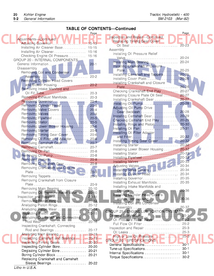## **TABLE OF CONTENTS-Continued**

| Adjustments-Continued<br>Replacing Timing Gear Cover<br>Adjusting Governor<br>$15 - 15$<br>$20 - 23$<br>Installing Air Cleaner Base 15-15<br>Assembly<br>Installing Air Cleaner  15-16<br>Installing Oil Pressure Relief<br>Checking Engine Oil Pressure 15-16<br>Valve 20-24<br>GROUP 20 - INTERNAL COMPONENTS<br>Installing Main Bearing  20-24<br>Installing Crankshaft in Closure<br><b>Disassembly</b><br>Removing Coil and Condenser<br>Installing Camshaft and Tappets  20-25<br><b>Removing Cylinder Head Covers</b><br>Installing Crankshaft and Closure<br>and Blower Housing<br>$20 - 2$<br>$20 - 26$<br>Plate<br>Removing Intake Manifold and<br>Checking Crankshaft End Play<br>$20 - 27$<br>$20 - 27$<br>Installing Closure Plate Oil Seal<br>Removing Exhaust Manifolds 20-3<br>$20 - 27$<br>Installing Crankshaft Gear<br>Removing Governor 20-4<br>$20 - 28$<br>Installing Oil Pump<br>Adjusting Oil Pump Drive<br>Removing Valve Covers  20-4<br>Gear Backlash  20-28<br>Removing Valves  20-4<br>Installing Camshaft Gear<br>20-29<br>Removing Flywheel  20-5<br>Checking Camshaft End Play<br>$20 - 29$<br>Removing Stator 20-5<br>Installing Rings and Piston<br>$20 - 30$<br>Removing Lower Blower Housing  20-6<br>$20 - 31$<br>Installing Oil Pan<br>Installing Oil Filter Adapter<br>Removing Timing Gear Cover  20-6<br>$\left( \mathsf{R}\right)$<br>and Filter<br>$20 - 32$<br>Removing Oil Filter and Adapter  20-6<br>Installing Timing Gear Cover  20-32<br>Removing Camshaft Gear<br>$20 - 7$<br>$20 - 32$<br>Removing Camshaft 20-7<br>Installing Lower Blower Housing<br>$20 - 32$<br>Removing Oil Pan  20-8<br>Removing Oil Pump 20-8<br>$20 - 33$<br>Installing Flywheel<br>Removing Pistons 20-8<br>20-33<br>$20 - 8$<br>Removing Crankshaft Gear<br>Removing Crankshaft and Closure<br>20-34<br>Installing Valve Covers<br>$20 - 9$<br>Installing Cylinder Head  20-34<br>$20 - 9$<br>Installing Governor 20-35<br>Removing Crankshaft from Closure<br>Installing Exhaust Manifolds 20-35<br>Installing Intake Manifolds and<br>Removing Main Bearing  20-10<br>Removing Oil Pressure Relief Valve 20-10<br>Installing Cylinder Head Covers<br>$20 - 11$<br>20-36<br>$20 - 12$<br>Installing Coil and Condenser<br>Analyzing Piston Rings<br>$20 - 12$<br>20-37<br>Assembly<br>$20 - 14$<br><b>GROUP 25 - ENGINE LUBRICATION SYSTEM</b><br>$20 - 15$<br>$25 - 1$<br>Analyzing Crankshaft and Connecting<br>Oil Pressure Relief Valve  25-2<br>$20 - 16$<br>Full Flow Oil Filter  25-2<br>Inspecting Crankshaft, Connecting<br>Inspection and Repair  25-3<br>Rod and Bearings<br>$20 - 17$<br>$20 - 18$<br>Inspecting Camshaft and Bearings  20-19<br>GROUP 30 - SPECIFICATIONS<br>General Specifications<br>$30 - 1$<br>Inspecting Cylinder Bore<br>$20 - 20$<br>Tune-up Specifications 30-1<br>Deglazing Cylinder Bore  20-21<br>Internal Specifications  30-1<br>Boring Cylinder Block<br>$20 - 21$<br>Replacing Crankshaft and Camshaft<br>Sleeve Bearings 20-22<br>Litho in U.S.A. | Page |                                 | Page |  |
|-------------------------------------------------------------------------------------------------------------------------------------------------------------------------------------------------------------------------------------------------------------------------------------------------------------------------------------------------------------------------------------------------------------------------------------------------------------------------------------------------------------------------------------------------------------------------------------------------------------------------------------------------------------------------------------------------------------------------------------------------------------------------------------------------------------------------------------------------------------------------------------------------------------------------------------------------------------------------------------------------------------------------------------------------------------------------------------------------------------------------------------------------------------------------------------------------------------------------------------------------------------------------------------------------------------------------------------------------------------------------------------------------------------------------------------------------------------------------------------------------------------------------------------------------------------------------------------------------------------------------------------------------------------------------------------------------------------------------------------------------------------------------------------------------------------------------------------------------------------------------------------------------------------------------------------------------------------------------------------------------------------------------------------------------------------------------------------------------------------------------------------------------------------------------------------------------------------------------------------------------------------------------------------------------------------------------------------------------------------------------------------------------------------------------------------------------------------------------------------------------------------------------------------------------------------------------------------------------------------------------------------------------------------------------------------------------------------------------------------------------------------------------------------------------------------------------------------------------------------------------------------------------------------------------------------------------------------------------------------------------------------------------------|------|---------------------------------|------|--|
|                                                                                                                                                                                                                                                                                                                                                                                                                                                                                                                                                                                                                                                                                                                                                                                                                                                                                                                                                                                                                                                                                                                                                                                                                                                                                                                                                                                                                                                                                                                                                                                                                                                                                                                                                                                                                                                                                                                                                                                                                                                                                                                                                                                                                                                                                                                                                                                                                                                                                                                                                                                                                                                                                                                                                                                                                                                                                                                                                                                                                               |      | Inspection and Repair-Continued |      |  |
|                                                                                                                                                                                                                                                                                                                                                                                                                                                                                                                                                                                                                                                                                                                                                                                                                                                                                                                                                                                                                                                                                                                                                                                                                                                                                                                                                                                                                                                                                                                                                                                                                                                                                                                                                                                                                                                                                                                                                                                                                                                                                                                                                                                                                                                                                                                                                                                                                                                                                                                                                                                                                                                                                                                                                                                                                                                                                                                                                                                                                               |      |                                 |      |  |
|                                                                                                                                                                                                                                                                                                                                                                                                                                                                                                                                                                                                                                                                                                                                                                                                                                                                                                                                                                                                                                                                                                                                                                                                                                                                                                                                                                                                                                                                                                                                                                                                                                                                                                                                                                                                                                                                                                                                                                                                                                                                                                                                                                                                                                                                                                                                                                                                                                                                                                                                                                                                                                                                                                                                                                                                                                                                                                                                                                                                                               |      |                                 |      |  |
|                                                                                                                                                                                                                                                                                                                                                                                                                                                                                                                                                                                                                                                                                                                                                                                                                                                                                                                                                                                                                                                                                                                                                                                                                                                                                                                                                                                                                                                                                                                                                                                                                                                                                                                                                                                                                                                                                                                                                                                                                                                                                                                                                                                                                                                                                                                                                                                                                                                                                                                                                                                                                                                                                                                                                                                                                                                                                                                                                                                                                               |      |                                 |      |  |
|                                                                                                                                                                                                                                                                                                                                                                                                                                                                                                                                                                                                                                                                                                                                                                                                                                                                                                                                                                                                                                                                                                                                                                                                                                                                                                                                                                                                                                                                                                                                                                                                                                                                                                                                                                                                                                                                                                                                                                                                                                                                                                                                                                                                                                                                                                                                                                                                                                                                                                                                                                                                                                                                                                                                                                                                                                                                                                                                                                                                                               |      |                                 |      |  |
|                                                                                                                                                                                                                                                                                                                                                                                                                                                                                                                                                                                                                                                                                                                                                                                                                                                                                                                                                                                                                                                                                                                                                                                                                                                                                                                                                                                                                                                                                                                                                                                                                                                                                                                                                                                                                                                                                                                                                                                                                                                                                                                                                                                                                                                                                                                                                                                                                                                                                                                                                                                                                                                                                                                                                                                                                                                                                                                                                                                                                               |      |                                 |      |  |
|                                                                                                                                                                                                                                                                                                                                                                                                                                                                                                                                                                                                                                                                                                                                                                                                                                                                                                                                                                                                                                                                                                                                                                                                                                                                                                                                                                                                                                                                                                                                                                                                                                                                                                                                                                                                                                                                                                                                                                                                                                                                                                                                                                                                                                                                                                                                                                                                                                                                                                                                                                                                                                                                                                                                                                                                                                                                                                                                                                                                                               |      |                                 |      |  |
|                                                                                                                                                                                                                                                                                                                                                                                                                                                                                                                                                                                                                                                                                                                                                                                                                                                                                                                                                                                                                                                                                                                                                                                                                                                                                                                                                                                                                                                                                                                                                                                                                                                                                                                                                                                                                                                                                                                                                                                                                                                                                                                                                                                                                                                                                                                                                                                                                                                                                                                                                                                                                                                                                                                                                                                                                                                                                                                                                                                                                               |      |                                 |      |  |
|                                                                                                                                                                                                                                                                                                                                                                                                                                                                                                                                                                                                                                                                                                                                                                                                                                                                                                                                                                                                                                                                                                                                                                                                                                                                                                                                                                                                                                                                                                                                                                                                                                                                                                                                                                                                                                                                                                                                                                                                                                                                                                                                                                                                                                                                                                                                                                                                                                                                                                                                                                                                                                                                                                                                                                                                                                                                                                                                                                                                                               |      |                                 |      |  |
|                                                                                                                                                                                                                                                                                                                                                                                                                                                                                                                                                                                                                                                                                                                                                                                                                                                                                                                                                                                                                                                                                                                                                                                                                                                                                                                                                                                                                                                                                                                                                                                                                                                                                                                                                                                                                                                                                                                                                                                                                                                                                                                                                                                                                                                                                                                                                                                                                                                                                                                                                                                                                                                                                                                                                                                                                                                                                                                                                                                                                               |      |                                 |      |  |
|                                                                                                                                                                                                                                                                                                                                                                                                                                                                                                                                                                                                                                                                                                                                                                                                                                                                                                                                                                                                                                                                                                                                                                                                                                                                                                                                                                                                                                                                                                                                                                                                                                                                                                                                                                                                                                                                                                                                                                                                                                                                                                                                                                                                                                                                                                                                                                                                                                                                                                                                                                                                                                                                                                                                                                                                                                                                                                                                                                                                                               |      |                                 |      |  |
|                                                                                                                                                                                                                                                                                                                                                                                                                                                                                                                                                                                                                                                                                                                                                                                                                                                                                                                                                                                                                                                                                                                                                                                                                                                                                                                                                                                                                                                                                                                                                                                                                                                                                                                                                                                                                                                                                                                                                                                                                                                                                                                                                                                                                                                                                                                                                                                                                                                                                                                                                                                                                                                                                                                                                                                                                                                                                                                                                                                                                               |      |                                 |      |  |
|                                                                                                                                                                                                                                                                                                                                                                                                                                                                                                                                                                                                                                                                                                                                                                                                                                                                                                                                                                                                                                                                                                                                                                                                                                                                                                                                                                                                                                                                                                                                                                                                                                                                                                                                                                                                                                                                                                                                                                                                                                                                                                                                                                                                                                                                                                                                                                                                                                                                                                                                                                                                                                                                                                                                                                                                                                                                                                                                                                                                                               |      |                                 |      |  |
|                                                                                                                                                                                                                                                                                                                                                                                                                                                                                                                                                                                                                                                                                                                                                                                                                                                                                                                                                                                                                                                                                                                                                                                                                                                                                                                                                                                                                                                                                                                                                                                                                                                                                                                                                                                                                                                                                                                                                                                                                                                                                                                                                                                                                                                                                                                                                                                                                                                                                                                                                                                                                                                                                                                                                                                                                                                                                                                                                                                                                               |      |                                 |      |  |
|                                                                                                                                                                                                                                                                                                                                                                                                                                                                                                                                                                                                                                                                                                                                                                                                                                                                                                                                                                                                                                                                                                                                                                                                                                                                                                                                                                                                                                                                                                                                                                                                                                                                                                                                                                                                                                                                                                                                                                                                                                                                                                                                                                                                                                                                                                                                                                                                                                                                                                                                                                                                                                                                                                                                                                                                                                                                                                                                                                                                                               |      |                                 |      |  |
|                                                                                                                                                                                                                                                                                                                                                                                                                                                                                                                                                                                                                                                                                                                                                                                                                                                                                                                                                                                                                                                                                                                                                                                                                                                                                                                                                                                                                                                                                                                                                                                                                                                                                                                                                                                                                                                                                                                                                                                                                                                                                                                                                                                                                                                                                                                                                                                                                                                                                                                                                                                                                                                                                                                                                                                                                                                                                                                                                                                                                               |      |                                 |      |  |
|                                                                                                                                                                                                                                                                                                                                                                                                                                                                                                                                                                                                                                                                                                                                                                                                                                                                                                                                                                                                                                                                                                                                                                                                                                                                                                                                                                                                                                                                                                                                                                                                                                                                                                                                                                                                                                                                                                                                                                                                                                                                                                                                                                                                                                                                                                                                                                                                                                                                                                                                                                                                                                                                                                                                                                                                                                                                                                                                                                                                                               |      |                                 |      |  |
|                                                                                                                                                                                                                                                                                                                                                                                                                                                                                                                                                                                                                                                                                                                                                                                                                                                                                                                                                                                                                                                                                                                                                                                                                                                                                                                                                                                                                                                                                                                                                                                                                                                                                                                                                                                                                                                                                                                                                                                                                                                                                                                                                                                                                                                                                                                                                                                                                                                                                                                                                                                                                                                                                                                                                                                                                                                                                                                                                                                                                               |      |                                 |      |  |
|                                                                                                                                                                                                                                                                                                                                                                                                                                                                                                                                                                                                                                                                                                                                                                                                                                                                                                                                                                                                                                                                                                                                                                                                                                                                                                                                                                                                                                                                                                                                                                                                                                                                                                                                                                                                                                                                                                                                                                                                                                                                                                                                                                                                                                                                                                                                                                                                                                                                                                                                                                                                                                                                                                                                                                                                                                                                                                                                                                                                                               |      |                                 |      |  |
|                                                                                                                                                                                                                                                                                                                                                                                                                                                                                                                                                                                                                                                                                                                                                                                                                                                                                                                                                                                                                                                                                                                                                                                                                                                                                                                                                                                                                                                                                                                                                                                                                                                                                                                                                                                                                                                                                                                                                                                                                                                                                                                                                                                                                                                                                                                                                                                                                                                                                                                                                                                                                                                                                                                                                                                                                                                                                                                                                                                                                               |      |                                 |      |  |
|                                                                                                                                                                                                                                                                                                                                                                                                                                                                                                                                                                                                                                                                                                                                                                                                                                                                                                                                                                                                                                                                                                                                                                                                                                                                                                                                                                                                                                                                                                                                                                                                                                                                                                                                                                                                                                                                                                                                                                                                                                                                                                                                                                                                                                                                                                                                                                                                                                                                                                                                                                                                                                                                                                                                                                                                                                                                                                                                                                                                                               |      |                                 |      |  |
|                                                                                                                                                                                                                                                                                                                                                                                                                                                                                                                                                                                                                                                                                                                                                                                                                                                                                                                                                                                                                                                                                                                                                                                                                                                                                                                                                                                                                                                                                                                                                                                                                                                                                                                                                                                                                                                                                                                                                                                                                                                                                                                                                                                                                                                                                                                                                                                                                                                                                                                                                                                                                                                                                                                                                                                                                                                                                                                                                                                                                               |      |                                 |      |  |
|                                                                                                                                                                                                                                                                                                                                                                                                                                                                                                                                                                                                                                                                                                                                                                                                                                                                                                                                                                                                                                                                                                                                                                                                                                                                                                                                                                                                                                                                                                                                                                                                                                                                                                                                                                                                                                                                                                                                                                                                                                                                                                                                                                                                                                                                                                                                                                                                                                                                                                                                                                                                                                                                                                                                                                                                                                                                                                                                                                                                                               |      |                                 |      |  |
|                                                                                                                                                                                                                                                                                                                                                                                                                                                                                                                                                                                                                                                                                                                                                                                                                                                                                                                                                                                                                                                                                                                                                                                                                                                                                                                                                                                                                                                                                                                                                                                                                                                                                                                                                                                                                                                                                                                                                                                                                                                                                                                                                                                                                                                                                                                                                                                                                                                                                                                                                                                                                                                                                                                                                                                                                                                                                                                                                                                                                               |      |                                 |      |  |
|                                                                                                                                                                                                                                                                                                                                                                                                                                                                                                                                                                                                                                                                                                                                                                                                                                                                                                                                                                                                                                                                                                                                                                                                                                                                                                                                                                                                                                                                                                                                                                                                                                                                                                                                                                                                                                                                                                                                                                                                                                                                                                                                                                                                                                                                                                                                                                                                                                                                                                                                                                                                                                                                                                                                                                                                                                                                                                                                                                                                                               |      |                                 |      |  |
|                                                                                                                                                                                                                                                                                                                                                                                                                                                                                                                                                                                                                                                                                                                                                                                                                                                                                                                                                                                                                                                                                                                                                                                                                                                                                                                                                                                                                                                                                                                                                                                                                                                                                                                                                                                                                                                                                                                                                                                                                                                                                                                                                                                                                                                                                                                                                                                                                                                                                                                                                                                                                                                                                                                                                                                                                                                                                                                                                                                                                               |      |                                 |      |  |
|                                                                                                                                                                                                                                                                                                                                                                                                                                                                                                                                                                                                                                                                                                                                                                                                                                                                                                                                                                                                                                                                                                                                                                                                                                                                                                                                                                                                                                                                                                                                                                                                                                                                                                                                                                                                                                                                                                                                                                                                                                                                                                                                                                                                                                                                                                                                                                                                                                                                                                                                                                                                                                                                                                                                                                                                                                                                                                                                                                                                                               |      |                                 |      |  |
|                                                                                                                                                                                                                                                                                                                                                                                                                                                                                                                                                                                                                                                                                                                                                                                                                                                                                                                                                                                                                                                                                                                                                                                                                                                                                                                                                                                                                                                                                                                                                                                                                                                                                                                                                                                                                                                                                                                                                                                                                                                                                                                                                                                                                                                                                                                                                                                                                                                                                                                                                                                                                                                                                                                                                                                                                                                                                                                                                                                                                               |      |                                 |      |  |
|                                                                                                                                                                                                                                                                                                                                                                                                                                                                                                                                                                                                                                                                                                                                                                                                                                                                                                                                                                                                                                                                                                                                                                                                                                                                                                                                                                                                                                                                                                                                                                                                                                                                                                                                                                                                                                                                                                                                                                                                                                                                                                                                                                                                                                                                                                                                                                                                                                                                                                                                                                                                                                                                                                                                                                                                                                                                                                                                                                                                                               |      |                                 |      |  |
|                                                                                                                                                                                                                                                                                                                                                                                                                                                                                                                                                                                                                                                                                                                                                                                                                                                                                                                                                                                                                                                                                                                                                                                                                                                                                                                                                                                                                                                                                                                                                                                                                                                                                                                                                                                                                                                                                                                                                                                                                                                                                                                                                                                                                                                                                                                                                                                                                                                                                                                                                                                                                                                                                                                                                                                                                                                                                                                                                                                                                               |      |                                 |      |  |
|                                                                                                                                                                                                                                                                                                                                                                                                                                                                                                                                                                                                                                                                                                                                                                                                                                                                                                                                                                                                                                                                                                                                                                                                                                                                                                                                                                                                                                                                                                                                                                                                                                                                                                                                                                                                                                                                                                                                                                                                                                                                                                                                                                                                                                                                                                                                                                                                                                                                                                                                                                                                                                                                                                                                                                                                                                                                                                                                                                                                                               |      |                                 |      |  |
|                                                                                                                                                                                                                                                                                                                                                                                                                                                                                                                                                                                                                                                                                                                                                                                                                                                                                                                                                                                                                                                                                                                                                                                                                                                                                                                                                                                                                                                                                                                                                                                                                                                                                                                                                                                                                                                                                                                                                                                                                                                                                                                                                                                                                                                                                                                                                                                                                                                                                                                                                                                                                                                                                                                                                                                                                                                                                                                                                                                                                               |      |                                 |      |  |
|                                                                                                                                                                                                                                                                                                                                                                                                                                                                                                                                                                                                                                                                                                                                                                                                                                                                                                                                                                                                                                                                                                                                                                                                                                                                                                                                                                                                                                                                                                                                                                                                                                                                                                                                                                                                                                                                                                                                                                                                                                                                                                                                                                                                                                                                                                                                                                                                                                                                                                                                                                                                                                                                                                                                                                                                                                                                                                                                                                                                                               |      |                                 |      |  |
|                                                                                                                                                                                                                                                                                                                                                                                                                                                                                                                                                                                                                                                                                                                                                                                                                                                                                                                                                                                                                                                                                                                                                                                                                                                                                                                                                                                                                                                                                                                                                                                                                                                                                                                                                                                                                                                                                                                                                                                                                                                                                                                                                                                                                                                                                                                                                                                                                                                                                                                                                                                                                                                                                                                                                                                                                                                                                                                                                                                                                               |      |                                 |      |  |
|                                                                                                                                                                                                                                                                                                                                                                                                                                                                                                                                                                                                                                                                                                                                                                                                                                                                                                                                                                                                                                                                                                                                                                                                                                                                                                                                                                                                                                                                                                                                                                                                                                                                                                                                                                                                                                                                                                                                                                                                                                                                                                                                                                                                                                                                                                                                                                                                                                                                                                                                                                                                                                                                                                                                                                                                                                                                                                                                                                                                                               |      |                                 |      |  |
|                                                                                                                                                                                                                                                                                                                                                                                                                                                                                                                                                                                                                                                                                                                                                                                                                                                                                                                                                                                                                                                                                                                                                                                                                                                                                                                                                                                                                                                                                                                                                                                                                                                                                                                                                                                                                                                                                                                                                                                                                                                                                                                                                                                                                                                                                                                                                                                                                                                                                                                                                                                                                                                                                                                                                                                                                                                                                                                                                                                                                               |      |                                 |      |  |
|                                                                                                                                                                                                                                                                                                                                                                                                                                                                                                                                                                                                                                                                                                                                                                                                                                                                                                                                                                                                                                                                                                                                                                                                                                                                                                                                                                                                                                                                                                                                                                                                                                                                                                                                                                                                                                                                                                                                                                                                                                                                                                                                                                                                                                                                                                                                                                                                                                                                                                                                                                                                                                                                                                                                                                                                                                                                                                                                                                                                                               |      |                                 |      |  |
|                                                                                                                                                                                                                                                                                                                                                                                                                                                                                                                                                                                                                                                                                                                                                                                                                                                                                                                                                                                                                                                                                                                                                                                                                                                                                                                                                                                                                                                                                                                                                                                                                                                                                                                                                                                                                                                                                                                                                                                                                                                                                                                                                                                                                                                                                                                                                                                                                                                                                                                                                                                                                                                                                                                                                                                                                                                                                                                                                                                                                               |      |                                 |      |  |
|                                                                                                                                                                                                                                                                                                                                                                                                                                                                                                                                                                                                                                                                                                                                                                                                                                                                                                                                                                                                                                                                                                                                                                                                                                                                                                                                                                                                                                                                                                                                                                                                                                                                                                                                                                                                                                                                                                                                                                                                                                                                                                                                                                                                                                                                                                                                                                                                                                                                                                                                                                                                                                                                                                                                                                                                                                                                                                                                                                                                                               |      |                                 |      |  |
|                                                                                                                                                                                                                                                                                                                                                                                                                                                                                                                                                                                                                                                                                                                                                                                                                                                                                                                                                                                                                                                                                                                                                                                                                                                                                                                                                                                                                                                                                                                                                                                                                                                                                                                                                                                                                                                                                                                                                                                                                                                                                                                                                                                                                                                                                                                                                                                                                                                                                                                                                                                                                                                                                                                                                                                                                                                                                                                                                                                                                               |      |                                 |      |  |
|                                                                                                                                                                                                                                                                                                                                                                                                                                                                                                                                                                                                                                                                                                                                                                                                                                                                                                                                                                                                                                                                                                                                                                                                                                                                                                                                                                                                                                                                                                                                                                                                                                                                                                                                                                                                                                                                                                                                                                                                                                                                                                                                                                                                                                                                                                                                                                                                                                                                                                                                                                                                                                                                                                                                                                                                                                                                                                                                                                                                                               |      |                                 |      |  |
|                                                                                                                                                                                                                                                                                                                                                                                                                                                                                                                                                                                                                                                                                                                                                                                                                                                                                                                                                                                                                                                                                                                                                                                                                                                                                                                                                                                                                                                                                                                                                                                                                                                                                                                                                                                                                                                                                                                                                                                                                                                                                                                                                                                                                                                                                                                                                                                                                                                                                                                                                                                                                                                                                                                                                                                                                                                                                                                                                                                                                               |      |                                 |      |  |
|                                                                                                                                                                                                                                                                                                                                                                                                                                                                                                                                                                                                                                                                                                                                                                                                                                                                                                                                                                                                                                                                                                                                                                                                                                                                                                                                                                                                                                                                                                                                                                                                                                                                                                                                                                                                                                                                                                                                                                                                                                                                                                                                                                                                                                                                                                                                                                                                                                                                                                                                                                                                                                                                                                                                                                                                                                                                                                                                                                                                                               |      |                                 |      |  |
|                                                                                                                                                                                                                                                                                                                                                                                                                                                                                                                                                                                                                                                                                                                                                                                                                                                                                                                                                                                                                                                                                                                                                                                                                                                                                                                                                                                                                                                                                                                                                                                                                                                                                                                                                                                                                                                                                                                                                                                                                                                                                                                                                                                                                                                                                                                                                                                                                                                                                                                                                                                                                                                                                                                                                                                                                                                                                                                                                                                                                               |      |                                 |      |  |
|                                                                                                                                                                                                                                                                                                                                                                                                                                                                                                                                                                                                                                                                                                                                                                                                                                                                                                                                                                                                                                                                                                                                                                                                                                                                                                                                                                                                                                                                                                                                                                                                                                                                                                                                                                                                                                                                                                                                                                                                                                                                                                                                                                                                                                                                                                                                                                                                                                                                                                                                                                                                                                                                                                                                                                                                                                                                                                                                                                                                                               |      |                                 |      |  |
|                                                                                                                                                                                                                                                                                                                                                                                                                                                                                                                                                                                                                                                                                                                                                                                                                                                                                                                                                                                                                                                                                                                                                                                                                                                                                                                                                                                                                                                                                                                                                                                                                                                                                                                                                                                                                                                                                                                                                                                                                                                                                                                                                                                                                                                                                                                                                                                                                                                                                                                                                                                                                                                                                                                                                                                                                                                                                                                                                                                                                               |      |                                 |      |  |
|                                                                                                                                                                                                                                                                                                                                                                                                                                                                                                                                                                                                                                                                                                                                                                                                                                                                                                                                                                                                                                                                                                                                                                                                                                                                                                                                                                                                                                                                                                                                                                                                                                                                                                                                                                                                                                                                                                                                                                                                                                                                                                                                                                                                                                                                                                                                                                                                                                                                                                                                                                                                                                                                                                                                                                                                                                                                                                                                                                                                                               |      |                                 |      |  |
|                                                                                                                                                                                                                                                                                                                                                                                                                                                                                                                                                                                                                                                                                                                                                                                                                                                                                                                                                                                                                                                                                                                                                                                                                                                                                                                                                                                                                                                                                                                                                                                                                                                                                                                                                                                                                                                                                                                                                                                                                                                                                                                                                                                                                                                                                                                                                                                                                                                                                                                                                                                                                                                                                                                                                                                                                                                                                                                                                                                                                               |      |                                 |      |  |
|                                                                                                                                                                                                                                                                                                                                                                                                                                                                                                                                                                                                                                                                                                                                                                                                                                                                                                                                                                                                                                                                                                                                                                                                                                                                                                                                                                                                                                                                                                                                                                                                                                                                                                                                                                                                                                                                                                                                                                                                                                                                                                                                                                                                                                                                                                                                                                                                                                                                                                                                                                                                                                                                                                                                                                                                                                                                                                                                                                                                                               |      |                                 |      |  |
|                                                                                                                                                                                                                                                                                                                                                                                                                                                                                                                                                                                                                                                                                                                                                                                                                                                                                                                                                                                                                                                                                                                                                                                                                                                                                                                                                                                                                                                                                                                                                                                                                                                                                                                                                                                                                                                                                                                                                                                                                                                                                                                                                                                                                                                                                                                                                                                                                                                                                                                                                                                                                                                                                                                                                                                                                                                                                                                                                                                                                               |      |                                 |      |  |
|                                                                                                                                                                                                                                                                                                                                                                                                                                                                                                                                                                                                                                                                                                                                                                                                                                                                                                                                                                                                                                                                                                                                                                                                                                                                                                                                                                                                                                                                                                                                                                                                                                                                                                                                                                                                                                                                                                                                                                                                                                                                                                                                                                                                                                                                                                                                                                                                                                                                                                                                                                                                                                                                                                                                                                                                                                                                                                                                                                                                                               |      |                                 |      |  |
|                                                                                                                                                                                                                                                                                                                                                                                                                                                                                                                                                                                                                                                                                                                                                                                                                                                                                                                                                                                                                                                                                                                                                                                                                                                                                                                                                                                                                                                                                                                                                                                                                                                                                                                                                                                                                                                                                                                                                                                                                                                                                                                                                                                                                                                                                                                                                                                                                                                                                                                                                                                                                                                                                                                                                                                                                                                                                                                                                                                                                               |      |                                 |      |  |
|                                                                                                                                                                                                                                                                                                                                                                                                                                                                                                                                                                                                                                                                                                                                                                                                                                                                                                                                                                                                                                                                                                                                                                                                                                                                                                                                                                                                                                                                                                                                                                                                                                                                                                                                                                                                                                                                                                                                                                                                                                                                                                                                                                                                                                                                                                                                                                                                                                                                                                                                                                                                                                                                                                                                                                                                                                                                                                                                                                                                                               |      |                                 |      |  |
|                                                                                                                                                                                                                                                                                                                                                                                                                                                                                                                                                                                                                                                                                                                                                                                                                                                                                                                                                                                                                                                                                                                                                                                                                                                                                                                                                                                                                                                                                                                                                                                                                                                                                                                                                                                                                                                                                                                                                                                                                                                                                                                                                                                                                                                                                                                                                                                                                                                                                                                                                                                                                                                                                                                                                                                                                                                                                                                                                                                                                               |      |                                 |      |  |
|                                                                                                                                                                                                                                                                                                                                                                                                                                                                                                                                                                                                                                                                                                                                                                                                                                                                                                                                                                                                                                                                                                                                                                                                                                                                                                                                                                                                                                                                                                                                                                                                                                                                                                                                                                                                                                                                                                                                                                                                                                                                                                                                                                                                                                                                                                                                                                                                                                                                                                                                                                                                                                                                                                                                                                                                                                                                                                                                                                                                                               |      |                                 |      |  |
|                                                                                                                                                                                                                                                                                                                                                                                                                                                                                                                                                                                                                                                                                                                                                                                                                                                                                                                                                                                                                                                                                                                                                                                                                                                                                                                                                                                                                                                                                                                                                                                                                                                                                                                                                                                                                                                                                                                                                                                                                                                                                                                                                                                                                                                                                                                                                                                                                                                                                                                                                                                                                                                                                                                                                                                                                                                                                                                                                                                                                               |      |                                 |      |  |
|                                                                                                                                                                                                                                                                                                                                                                                                                                                                                                                                                                                                                                                                                                                                                                                                                                                                                                                                                                                                                                                                                                                                                                                                                                                                                                                                                                                                                                                                                                                                                                                                                                                                                                                                                                                                                                                                                                                                                                                                                                                                                                                                                                                                                                                                                                                                                                                                                                                                                                                                                                                                                                                                                                                                                                                                                                                                                                                                                                                                                               |      |                                 |      |  |
|                                                                                                                                                                                                                                                                                                                                                                                                                                                                                                                                                                                                                                                                                                                                                                                                                                                                                                                                                                                                                                                                                                                                                                                                                                                                                                                                                                                                                                                                                                                                                                                                                                                                                                                                                                                                                                                                                                                                                                                                                                                                                                                                                                                                                                                                                                                                                                                                                                                                                                                                                                                                                                                                                                                                                                                                                                                                                                                                                                                                                               |      |                                 |      |  |
|                                                                                                                                                                                                                                                                                                                                                                                                                                                                                                                                                                                                                                                                                                                                                                                                                                                                                                                                                                                                                                                                                                                                                                                                                                                                                                                                                                                                                                                                                                                                                                                                                                                                                                                                                                                                                                                                                                                                                                                                                                                                                                                                                                                                                                                                                                                                                                                                                                                                                                                                                                                                                                                                                                                                                                                                                                                                                                                                                                                                                               |      |                                 |      |  |
|                                                                                                                                                                                                                                                                                                                                                                                                                                                                                                                                                                                                                                                                                                                                                                                                                                                                                                                                                                                                                                                                                                                                                                                                                                                                                                                                                                                                                                                                                                                                                                                                                                                                                                                                                                                                                                                                                                                                                                                                                                                                                                                                                                                                                                                                                                                                                                                                                                                                                                                                                                                                                                                                                                                                                                                                                                                                                                                                                                                                                               |      |                                 |      |  |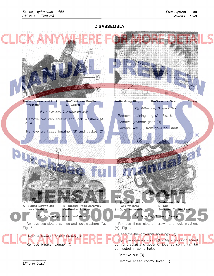**DISASSEMBL Y** 

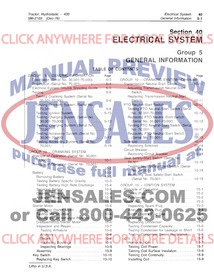Installing Coil. . . . . . . . . . . . . . . . . . . . . . . . .. 15-9

| Group 5<br><b>GENERAL INFORMATION</b><br>TABLE OF CONTENTS<br><b>GROUP</b><br>5 - GENERAL INFORMATION<br>Page<br>Page<br>GROUP 10 - CRANKING SYSTEM-Continued<br>Description (Serial No. 30,001-70,000) 5-3<br>Description (Serial No. 70,001-1990) 5-4<br>Transmission Neutral-Start Switch 10-11<br>Electrical System Trouble Shooting Guide 5-5<br>Adjusting Transmission Neutral-Start<br>Testing Cranking System (Serial No.<br>Replacing Transmission Neutral-Start<br>$.10 - 11$<br>Switch<br>PTO Neutral-Start Switch<br>10-12<br>Testing Cranking System (Serial No.<br>Testing PTO Neutral-Start Switch (Serial<br>No. 30,001-70,000) $\ldots \ldots \ldots \ldots \ldots 10-12$<br>Replacing PTO Neutral-Start Switch<br>Testing Charging System (Serial No.<br>$5 - 13$<br>(Serial No. 30,001-70,000)  10-12<br>Testing PTO Neutral-Start Switch (Serial<br>Testing Charging System (Serial No.<br>$5 - 15$<br>No. 70,001- (Decreed)   Decree   2010   2021<br>$70,001 -$<br>Testing Accessory System (Serial No.<br>Replacing PTO Neutral-Start Switch<br>$5 - 17$<br>(Serial No. 70,001- )  10-13<br>Testing Accessory System (Serial No.<br>Replacing Solenoid 10-14<br>$70,001 -$<br>GROUP 10 - CRANKING SYSTEM<br>Replacing Circuit Breaker 10-14<br>Principle of Operation (Serial No. 30,001-<br>Seat Safety-Start Switch (Serial No.<br>Principle of Operation (Serial No. 70,001-<br>Testing Seat Safety-Start Switch (Serial<br>Replacing Seat Safety-Start Switch<br>Testing Battery Specific Gravity 10-3<br>Testing Battery High Rate Discharge  10-4<br>GROUP 15 - IGNITION SYSTEM<br>Servicing Battery<br>$10 - 4$<br>$10 - 4$<br>$10 - 5$<br>Installing Battery New York Allen Library<br>$10-5$<br>$15 - 3$<br>$10 - 6$<br>Inspecting Spark Plug<br>$15 - 3$<br>Starter Motor<br>Removing Starter Motor<br>$15 - 4$<br>$10 - 6$<br>$10-6$<br>$15 - 5$<br>Setting Spark Plug Gap<br>Testing Starter Drive<br>Testing Starter Armature Rotation.<br>$.10-6$<br>Disassembling Starter Motor<br>$15 - 5$<br>$10 - 6$<br>Testing Condenser Capacity<br>$15 - 6$<br>Inspection and Repair<br>$10 - 7$<br>Testing Condenser for Leakage or Short . 15-6<br>Testing Armature<br>$10 - 8$<br>Testing Condenser Series Resistance  15-6<br>Analysis WW/ HERE 10-8<br>Coil $\left[\left(\ldots\right)\right]$ $\left[\left(\ldots\right)\right]$ $\left[\left(\ldots\right)\right]$ $\left[\left(\ldots\right)\right]$ $\left[\left(\ldots\right)\right]$ $\left[\left(\ldots\right)\right]$ $\left[\left(\ldots\right)\right]$<br>Removing Coil J. N. Hans L. M. L. M. 15-7<br>$10-9$<br>Inspecting Bearings  10-9<br>Testing Coil Surface Insulation  15-8<br>Testing Coil Continuity 15-8<br>Key Switch  10-10 | <b>CLICK ANYWHERE FELECTRICAL SYSTEM</b> | Section 40 |
|-------------------------------------------------------------------------------------------------------------------------------------------------------------------------------------------------------------------------------------------------------------------------------------------------------------------------------------------------------------------------------------------------------------------------------------------------------------------------------------------------------------------------------------------------------------------------------------------------------------------------------------------------------------------------------------------------------------------------------------------------------------------------------------------------------------------------------------------------------------------------------------------------------------------------------------------------------------------------------------------------------------------------------------------------------------------------------------------------------------------------------------------------------------------------------------------------------------------------------------------------------------------------------------------------------------------------------------------------------------------------------------------------------------------------------------------------------------------------------------------------------------------------------------------------------------------------------------------------------------------------------------------------------------------------------------------------------------------------------------------------------------------------------------------------------------------------------------------------------------------------------------------------------------------------------------------------------------------------------------------------------------------------------------------------------------------------------------------------------------------------------------------------------------------------------------------------------------------------------------------------------------------------------------------------------------------------------------------------------------------------------------------------------------------------------------------------------------------------------------------------------------------------------------------------------------------------------------------------------------------------------------------------------------------------------------------------------------------------------------|------------------------------------------|------------|
|                                                                                                                                                                                                                                                                                                                                                                                                                                                                                                                                                                                                                                                                                                                                                                                                                                                                                                                                                                                                                                                                                                                                                                                                                                                                                                                                                                                                                                                                                                                                                                                                                                                                                                                                                                                                                                                                                                                                                                                                                                                                                                                                                                                                                                                                                                                                                                                                                                                                                                                                                                                                                                                                                                                                     |                                          |            |
|                                                                                                                                                                                                                                                                                                                                                                                                                                                                                                                                                                                                                                                                                                                                                                                                                                                                                                                                                                                                                                                                                                                                                                                                                                                                                                                                                                                                                                                                                                                                                                                                                                                                                                                                                                                                                                                                                                                                                                                                                                                                                                                                                                                                                                                                                                                                                                                                                                                                                                                                                                                                                                                                                                                                     |                                          |            |
|                                                                                                                                                                                                                                                                                                                                                                                                                                                                                                                                                                                                                                                                                                                                                                                                                                                                                                                                                                                                                                                                                                                                                                                                                                                                                                                                                                                                                                                                                                                                                                                                                                                                                                                                                                                                                                                                                                                                                                                                                                                                                                                                                                                                                                                                                                                                                                                                                                                                                                                                                                                                                                                                                                                                     |                                          |            |
|                                                                                                                                                                                                                                                                                                                                                                                                                                                                                                                                                                                                                                                                                                                                                                                                                                                                                                                                                                                                                                                                                                                                                                                                                                                                                                                                                                                                                                                                                                                                                                                                                                                                                                                                                                                                                                                                                                                                                                                                                                                                                                                                                                                                                                                                                                                                                                                                                                                                                                                                                                                                                                                                                                                                     |                                          |            |
|                                                                                                                                                                                                                                                                                                                                                                                                                                                                                                                                                                                                                                                                                                                                                                                                                                                                                                                                                                                                                                                                                                                                                                                                                                                                                                                                                                                                                                                                                                                                                                                                                                                                                                                                                                                                                                                                                                                                                                                                                                                                                                                                                                                                                                                                                                                                                                                                                                                                                                                                                                                                                                                                                                                                     |                                          |            |
|                                                                                                                                                                                                                                                                                                                                                                                                                                                                                                                                                                                                                                                                                                                                                                                                                                                                                                                                                                                                                                                                                                                                                                                                                                                                                                                                                                                                                                                                                                                                                                                                                                                                                                                                                                                                                                                                                                                                                                                                                                                                                                                                                                                                                                                                                                                                                                                                                                                                                                                                                                                                                                                                                                                                     |                                          |            |
|                                                                                                                                                                                                                                                                                                                                                                                                                                                                                                                                                                                                                                                                                                                                                                                                                                                                                                                                                                                                                                                                                                                                                                                                                                                                                                                                                                                                                                                                                                                                                                                                                                                                                                                                                                                                                                                                                                                                                                                                                                                                                                                                                                                                                                                                                                                                                                                                                                                                                                                                                                                                                                                                                                                                     |                                          |            |
|                                                                                                                                                                                                                                                                                                                                                                                                                                                                                                                                                                                                                                                                                                                                                                                                                                                                                                                                                                                                                                                                                                                                                                                                                                                                                                                                                                                                                                                                                                                                                                                                                                                                                                                                                                                                                                                                                                                                                                                                                                                                                                                                                                                                                                                                                                                                                                                                                                                                                                                                                                                                                                                                                                                                     |                                          |            |
|                                                                                                                                                                                                                                                                                                                                                                                                                                                                                                                                                                                                                                                                                                                                                                                                                                                                                                                                                                                                                                                                                                                                                                                                                                                                                                                                                                                                                                                                                                                                                                                                                                                                                                                                                                                                                                                                                                                                                                                                                                                                                                                                                                                                                                                                                                                                                                                                                                                                                                                                                                                                                                                                                                                                     |                                          |            |
|                                                                                                                                                                                                                                                                                                                                                                                                                                                                                                                                                                                                                                                                                                                                                                                                                                                                                                                                                                                                                                                                                                                                                                                                                                                                                                                                                                                                                                                                                                                                                                                                                                                                                                                                                                                                                                                                                                                                                                                                                                                                                                                                                                                                                                                                                                                                                                                                                                                                                                                                                                                                                                                                                                                                     |                                          |            |
|                                                                                                                                                                                                                                                                                                                                                                                                                                                                                                                                                                                                                                                                                                                                                                                                                                                                                                                                                                                                                                                                                                                                                                                                                                                                                                                                                                                                                                                                                                                                                                                                                                                                                                                                                                                                                                                                                                                                                                                                                                                                                                                                                                                                                                                                                                                                                                                                                                                                                                                                                                                                                                                                                                                                     |                                          |            |
|                                                                                                                                                                                                                                                                                                                                                                                                                                                                                                                                                                                                                                                                                                                                                                                                                                                                                                                                                                                                                                                                                                                                                                                                                                                                                                                                                                                                                                                                                                                                                                                                                                                                                                                                                                                                                                                                                                                                                                                                                                                                                                                                                                                                                                                                                                                                                                                                                                                                                                                                                                                                                                                                                                                                     |                                          |            |
|                                                                                                                                                                                                                                                                                                                                                                                                                                                                                                                                                                                                                                                                                                                                                                                                                                                                                                                                                                                                                                                                                                                                                                                                                                                                                                                                                                                                                                                                                                                                                                                                                                                                                                                                                                                                                                                                                                                                                                                                                                                                                                                                                                                                                                                                                                                                                                                                                                                                                                                                                                                                                                                                                                                                     |                                          |            |
|                                                                                                                                                                                                                                                                                                                                                                                                                                                                                                                                                                                                                                                                                                                                                                                                                                                                                                                                                                                                                                                                                                                                                                                                                                                                                                                                                                                                                                                                                                                                                                                                                                                                                                                                                                                                                                                                                                                                                                                                                                                                                                                                                                                                                                                                                                                                                                                                                                                                                                                                                                                                                                                                                                                                     |                                          |            |
|                                                                                                                                                                                                                                                                                                                                                                                                                                                                                                                                                                                                                                                                                                                                                                                                                                                                                                                                                                                                                                                                                                                                                                                                                                                                                                                                                                                                                                                                                                                                                                                                                                                                                                                                                                                                                                                                                                                                                                                                                                                                                                                                                                                                                                                                                                                                                                                                                                                                                                                                                                                                                                                                                                                                     |                                          |            |
|                                                                                                                                                                                                                                                                                                                                                                                                                                                                                                                                                                                                                                                                                                                                                                                                                                                                                                                                                                                                                                                                                                                                                                                                                                                                                                                                                                                                                                                                                                                                                                                                                                                                                                                                                                                                                                                                                                                                                                                                                                                                                                                                                                                                                                                                                                                                                                                                                                                                                                                                                                                                                                                                                                                                     |                                          |            |
|                                                                                                                                                                                                                                                                                                                                                                                                                                                                                                                                                                                                                                                                                                                                                                                                                                                                                                                                                                                                                                                                                                                                                                                                                                                                                                                                                                                                                                                                                                                                                                                                                                                                                                                                                                                                                                                                                                                                                                                                                                                                                                                                                                                                                                                                                                                                                                                                                                                                                                                                                                                                                                                                                                                                     |                                          |            |
|                                                                                                                                                                                                                                                                                                                                                                                                                                                                                                                                                                                                                                                                                                                                                                                                                                                                                                                                                                                                                                                                                                                                                                                                                                                                                                                                                                                                                                                                                                                                                                                                                                                                                                                                                                                                                                                                                                                                                                                                                                                                                                                                                                                                                                                                                                                                                                                                                                                                                                                                                                                                                                                                                                                                     |                                          |            |
|                                                                                                                                                                                                                                                                                                                                                                                                                                                                                                                                                                                                                                                                                                                                                                                                                                                                                                                                                                                                                                                                                                                                                                                                                                                                                                                                                                                                                                                                                                                                                                                                                                                                                                                                                                                                                                                                                                                                                                                                                                                                                                                                                                                                                                                                                                                                                                                                                                                                                                                                                                                                                                                                                                                                     |                                          |            |
|                                                                                                                                                                                                                                                                                                                                                                                                                                                                                                                                                                                                                                                                                                                                                                                                                                                                                                                                                                                                                                                                                                                                                                                                                                                                                                                                                                                                                                                                                                                                                                                                                                                                                                                                                                                                                                                                                                                                                                                                                                                                                                                                                                                                                                                                                                                                                                                                                                                                                                                                                                                                                                                                                                                                     |                                          |            |
|                                                                                                                                                                                                                                                                                                                                                                                                                                                                                                                                                                                                                                                                                                                                                                                                                                                                                                                                                                                                                                                                                                                                                                                                                                                                                                                                                                                                                                                                                                                                                                                                                                                                                                                                                                                                                                                                                                                                                                                                                                                                                                                                                                                                                                                                                                                                                                                                                                                                                                                                                                                                                                                                                                                                     |                                          |            |
|                                                                                                                                                                                                                                                                                                                                                                                                                                                                                                                                                                                                                                                                                                                                                                                                                                                                                                                                                                                                                                                                                                                                                                                                                                                                                                                                                                                                                                                                                                                                                                                                                                                                                                                                                                                                                                                                                                                                                                                                                                                                                                                                                                                                                                                                                                                                                                                                                                                                                                                                                                                                                                                                                                                                     |                                          |            |
|                                                                                                                                                                                                                                                                                                                                                                                                                                                                                                                                                                                                                                                                                                                                                                                                                                                                                                                                                                                                                                                                                                                                                                                                                                                                                                                                                                                                                                                                                                                                                                                                                                                                                                                                                                                                                                                                                                                                                                                                                                                                                                                                                                                                                                                                                                                                                                                                                                                                                                                                                                                                                                                                                                                                     |                                          |            |
|                                                                                                                                                                                                                                                                                                                                                                                                                                                                                                                                                                                                                                                                                                                                                                                                                                                                                                                                                                                                                                                                                                                                                                                                                                                                                                                                                                                                                                                                                                                                                                                                                                                                                                                                                                                                                                                                                                                                                                                                                                                                                                                                                                                                                                                                                                                                                                                                                                                                                                                                                                                                                                                                                                                                     |                                          |            |
|                                                                                                                                                                                                                                                                                                                                                                                                                                                                                                                                                                                                                                                                                                                                                                                                                                                                                                                                                                                                                                                                                                                                                                                                                                                                                                                                                                                                                                                                                                                                                                                                                                                                                                                                                                                                                                                                                                                                                                                                                                                                                                                                                                                                                                                                                                                                                                                                                                                                                                                                                                                                                                                                                                                                     |                                          |            |
|                                                                                                                                                                                                                                                                                                                                                                                                                                                                                                                                                                                                                                                                                                                                                                                                                                                                                                                                                                                                                                                                                                                                                                                                                                                                                                                                                                                                                                                                                                                                                                                                                                                                                                                                                                                                                                                                                                                                                                                                                                                                                                                                                                                                                                                                                                                                                                                                                                                                                                                                                                                                                                                                                                                                     |                                          |            |
|                                                                                                                                                                                                                                                                                                                                                                                                                                                                                                                                                                                                                                                                                                                                                                                                                                                                                                                                                                                                                                                                                                                                                                                                                                                                                                                                                                                                                                                                                                                                                                                                                                                                                                                                                                                                                                                                                                                                                                                                                                                                                                                                                                                                                                                                                                                                                                                                                                                                                                                                                                                                                                                                                                                                     |                                          |            |
|                                                                                                                                                                                                                                                                                                                                                                                                                                                                                                                                                                                                                                                                                                                                                                                                                                                                                                                                                                                                                                                                                                                                                                                                                                                                                                                                                                                                                                                                                                                                                                                                                                                                                                                                                                                                                                                                                                                                                                                                                                                                                                                                                                                                                                                                                                                                                                                                                                                                                                                                                                                                                                                                                                                                     |                                          |            |
|                                                                                                                                                                                                                                                                                                                                                                                                                                                                                                                                                                                                                                                                                                                                                                                                                                                                                                                                                                                                                                                                                                                                                                                                                                                                                                                                                                                                                                                                                                                                                                                                                                                                                                                                                                                                                                                                                                                                                                                                                                                                                                                                                                                                                                                                                                                                                                                                                                                                                                                                                                                                                                                                                                                                     |                                          |            |
|                                                                                                                                                                                                                                                                                                                                                                                                                                                                                                                                                                                                                                                                                                                                                                                                                                                                                                                                                                                                                                                                                                                                                                                                                                                                                                                                                                                                                                                                                                                                                                                                                                                                                                                                                                                                                                                                                                                                                                                                                                                                                                                                                                                                                                                                                                                                                                                                                                                                                                                                                                                                                                                                                                                                     |                                          |            |
|                                                                                                                                                                                                                                                                                                                                                                                                                                                                                                                                                                                                                                                                                                                                                                                                                                                                                                                                                                                                                                                                                                                                                                                                                                                                                                                                                                                                                                                                                                                                                                                                                                                                                                                                                                                                                                                                                                                                                                                                                                                                                                                                                                                                                                                                                                                                                                                                                                                                                                                                                                                                                                                                                                                                     |                                          |            |
|                                                                                                                                                                                                                                                                                                                                                                                                                                                                                                                                                                                                                                                                                                                                                                                                                                                                                                                                                                                                                                                                                                                                                                                                                                                                                                                                                                                                                                                                                                                                                                                                                                                                                                                                                                                                                                                                                                                                                                                                                                                                                                                                                                                                                                                                                                                                                                                                                                                                                                                                                                                                                                                                                                                                     |                                          |            |
|                                                                                                                                                                                                                                                                                                                                                                                                                                                                                                                                                                                                                                                                                                                                                                                                                                                                                                                                                                                                                                                                                                                                                                                                                                                                                                                                                                                                                                                                                                                                                                                                                                                                                                                                                                                                                                                                                                                                                                                                                                                                                                                                                                                                                                                                                                                                                                                                                                                                                                                                                                                                                                                                                                                                     |                                          |            |
|                                                                                                                                                                                                                                                                                                                                                                                                                                                                                                                                                                                                                                                                                                                                                                                                                                                                                                                                                                                                                                                                                                                                                                                                                                                                                                                                                                                                                                                                                                                                                                                                                                                                                                                                                                                                                                                                                                                                                                                                                                                                                                                                                                                                                                                                                                                                                                                                                                                                                                                                                                                                                                                                                                                                     |                                          |            |
|                                                                                                                                                                                                                                                                                                                                                                                                                                                                                                                                                                                                                                                                                                                                                                                                                                                                                                                                                                                                                                                                                                                                                                                                                                                                                                                                                                                                                                                                                                                                                                                                                                                                                                                                                                                                                                                                                                                                                                                                                                                                                                                                                                                                                                                                                                                                                                                                                                                                                                                                                                                                                                                                                                                                     |                                          |            |
|                                                                                                                                                                                                                                                                                                                                                                                                                                                                                                                                                                                                                                                                                                                                                                                                                                                                                                                                                                                                                                                                                                                                                                                                                                                                                                                                                                                                                                                                                                                                                                                                                                                                                                                                                                                                                                                                                                                                                                                                                                                                                                                                                                                                                                                                                                                                                                                                                                                                                                                                                                                                                                                                                                                                     |                                          |            |
|                                                                                                                                                                                                                                                                                                                                                                                                                                                                                                                                                                                                                                                                                                                                                                                                                                                                                                                                                                                                                                                                                                                                                                                                                                                                                                                                                                                                                                                                                                                                                                                                                                                                                                                                                                                                                                                                                                                                                                                                                                                                                                                                                                                                                                                                                                                                                                                                                                                                                                                                                                                                                                                                                                                                     |                                          |            |
|                                                                                                                                                                                                                                                                                                                                                                                                                                                                                                                                                                                                                                                                                                                                                                                                                                                                                                                                                                                                                                                                                                                                                                                                                                                                                                                                                                                                                                                                                                                                                                                                                                                                                                                                                                                                                                                                                                                                                                                                                                                                                                                                                                                                                                                                                                                                                                                                                                                                                                                                                                                                                                                                                                                                     |                                          |            |
|                                                                                                                                                                                                                                                                                                                                                                                                                                                                                                                                                                                                                                                                                                                                                                                                                                                                                                                                                                                                                                                                                                                                                                                                                                                                                                                                                                                                                                                                                                                                                                                                                                                                                                                                                                                                                                                                                                                                                                                                                                                                                                                                                                                                                                                                                                                                                                                                                                                                                                                                                                                                                                                                                                                                     |                                          |            |
|                                                                                                                                                                                                                                                                                                                                                                                                                                                                                                                                                                                                                                                                                                                                                                                                                                                                                                                                                                                                                                                                                                                                                                                                                                                                                                                                                                                                                                                                                                                                                                                                                                                                                                                                                                                                                                                                                                                                                                                                                                                                                                                                                                                                                                                                                                                                                                                                                                                                                                                                                                                                                                                                                                                                     |                                          |            |
|                                                                                                                                                                                                                                                                                                                                                                                                                                                                                                                                                                                                                                                                                                                                                                                                                                                                                                                                                                                                                                                                                                                                                                                                                                                                                                                                                                                                                                                                                                                                                                                                                                                                                                                                                                                                                                                                                                                                                                                                                                                                                                                                                                                                                                                                                                                                                                                                                                                                                                                                                                                                                                                                                                                                     |                                          |            |
|                                                                                                                                                                                                                                                                                                                                                                                                                                                                                                                                                                                                                                                                                                                                                                                                                                                                                                                                                                                                                                                                                                                                                                                                                                                                                                                                                                                                                                                                                                                                                                                                                                                                                                                                                                                                                                                                                                                                                                                                                                                                                                                                                                                                                                                                                                                                                                                                                                                                                                                                                                                                                                                                                                                                     |                                          |            |
|                                                                                                                                                                                                                                                                                                                                                                                                                                                                                                                                                                                                                                                                                                                                                                                                                                                                                                                                                                                                                                                                                                                                                                                                                                                                                                                                                                                                                                                                                                                                                                                                                                                                                                                                                                                                                                                                                                                                                                                                                                                                                                                                                                                                                                                                                                                                                                                                                                                                                                                                                                                                                                                                                                                                     |                                          |            |

Litho in U.S.A.

Replacing Key Switch ................. 10-10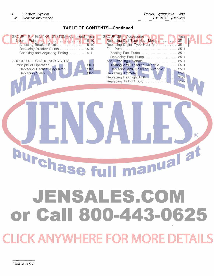## **TABLE OF CONTENTS-Continued**

| GROUP 15 - IGNITION SYSTEM-Continued Page<br>Breaker Points<br>$. 15 - 10$<br>Adjusting Breaker Points<br>$15 - 10$<br>Replacing Breaker Points  15-10<br>Checking and Adjusting Timing  15-11<br>GROUP 20 - CHARGING SYSTEM<br>$20 - 1$<br>Replacing Rectifier-Regulator<br>$20 - 2$<br>$20 - 2$ | GROUP 25 - Accessories<br>Replacing Dial-Type Hour Meter<br>Replacing Digital-Type Hour Meter<br>Fuel Pump<br>Replacing Fuel Pump 25-1<br>Anti-Dieseling Solenoid  25-1<br>Testing Anti-Dieseling Solenoid 25-1<br>Replacing Anti-Dieseling Solenoid<br>Replacing Headlight Bulb  25-2 | Page<br>$25 - 1$<br>$25 - 1$<br>$25 - 1$<br>$25 - 1$ |
|---------------------------------------------------------------------------------------------------------------------------------------------------------------------------------------------------------------------------------------------------------------------------------------------------|----------------------------------------------------------------------------------------------------------------------------------------------------------------------------------------------------------------------------------------------------------------------------------------|------------------------------------------------------|
| <b>Urchase t</b>                                                                                                                                                                                                                                                                                  | manual a                                                                                                                                                                                                                                                                               | $\left( \mathsf{R}\right)$                           |
| or Call 800-443-0625                                                                                                                                                                                                                                                                              | JENSALES.COM                                                                                                                                                                                                                                                                           |                                                      |
| <b>CLICK ANYWHERE FOR MORE DETAILS</b>                                                                                                                                                                                                                                                            |                                                                                                                                                                                                                                                                                        |                                                      |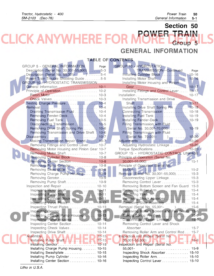## **Section 50 [POWER TRAIN](http://www.jensales.com/products/john-deere-400-lawn-garden-tractor-service-manual.html)  CK ANYWHEI REFC Group 5**

## **GENERAL INFORMATION**

## **TABLE OF CONTENTS**

| <b>GROUP 5 - GENERAL INFORMATION</b><br>Page         | <b>GROUP 10 - HYDROSTATIC</b>                |
|------------------------------------------------------|----------------------------------------------|
| Description (Serial No. 30,001-55,000) 5-3           | TRANSMISSION-Continued<br>Page               |
| Description (Serial No. 55,001-1) 5-4                | Installing Cylinder Block (110-16            |
| Power Train Trouble Shooting Guide 5-5               | Installing Motor Shaft<br>$10 - 16$          |
| <b>GROUP 10 - HYDROSTATIC TRANSMISSION</b>           | Installing Motor Housing and Pinion          |
|                                                      |                                              |
|                                                      | Installing Fittings and Control Lever  10-17 |
|                                                      | $10 - 17$                                    |
|                                                      | Installing Transmission and Drive            |
| Testing Charge Pressure. 10-4                        |                                              |
|                                                      | Installing Drive Shaft Spring Pin  10-18     |
| Draining Transmission Fluid  10-4                    | Connecting Transmission  10-18               |
| <b>Removing Fender-Deck 10-4</b>                     | Installing Fuel Tank  10-19                  |
| Removing Fuel Tank  10-5                             | Installing Fender-Deck10-19                  |
| Disconnecting Transmission N. 10-5                   | Filling Transmission with Fluid              |
| Removing Drive Shaft Spring Pin  10-6                | (Serial No. 30,001-70,000)  10-19            |
| Removing Transmission and Drive Shaft 10-6           | Filling Transmission with Fluid              |
|                                                      | (Serial No. 70,001- )  10-20                 |
| Making Transmission Repair Stand  10-7               |                                              |
| Removing Fittings and Control Lever 10-7             | Adjusting Hydrostatic Linkage  10-20         |
| Removing Motor Housing and Pinion Gear 10-7          |                                              |
|                                                      | GROUP 15 - HYDROSTATIC CONTROL LINKAGE       |
| Removing Cylinder Block  10-8                        | Principle of Operation (Serial No.           |
| Removing Center Section  10-8                        |                                              |
|                                                      | Principle of Operation (Serial No.           |
|                                                      | Removal (Serial No. 30,001-55,000) 15-3      |
| Removing Charge Pump Housing 10-9                    | Disconnecting Upper Linkage 15-3             |
| Removing Pump Shaft 10-9                             | Removing Control Lever  15-3                 |
| Inspection and Repair  10-10                         | Removing Bottom Screen and Fan Guard 15-3    |
|                                                      |                                              |
|                                                      | Removing Yoke 15-4                           |
|                                                      | Removing Shock Absorber 15-4                 |
| Inspecting Valve Plates                              |                                              |
| Inspecting Thrust Plates  10-13                      |                                              |
|                                                      | Removing Bottom Screen and Fan Guard 15-6    |
| Inspecting Charge Pump Housing 10-13                 |                                              |
|                                                      |                                              |
| Inspecting Center Section  10-14                     | Removing Control Lever and Shock             |
|                                                      |                                              |
| Inspecting Drive Shaft  10-14                        | Removing Roller Arm and Control Rod 15-7     |
|                                                      | Inspection and Repair (Serial No.            |
| Assembly<br>Installing Pump Shaft / W. Hart R. 10-15 |                                              |
| $10 - 15$                                            | Inspection and Repair (Serial No.            |
| Installing Charge Pump Housing 10-15                 | )  15-9<br>$55,001 -$                        |
| Installing Swashplate  10-15                         | Inspecting Shock Absorber 15-10              |
| Installing Pump Cylinder  10-16                      | Inspecting Roller Arm 15-10                  |
| Installing Center Section  10-16                     | Inspecting Control Lever  15-10              |

Litho in U.S.A.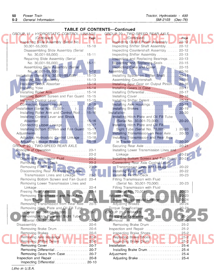#### **TABLE OF CONTENTS-Continued**  GROUP 15 - HYDROSTATIC CONTROL LINKAGE GROUP 20 - TWO-SPEED REAR AXLE  $(Cointinued)$   $\blacksquare$   $\blacksquare$   $\blacksquare$   $\blacksquare$   $\blacksquare$   $\blacksquare$   $\blacksquare$   $\blacksquare$   $\blacksquare$   $\blacksquare$   $\blacksquare$   $\blacksquare$   $\blacksquare$   $\blacksquare$   $\blacksquare$   $\blacksquare$   $\blacksquare$   $\blacksquare$   $\blacksquare$   $\blacksquare$   $\blacksquare$   $\blacksquare$   $\blacksquare$   $\blacksquare$   $\blacksquare$   $\blacksquare$   $\blacksquare$   $\blacksquare$   $\blacksquare$   $\blacksquare$   $\bl$ Inspecting Slide Assembly (Serial No. Inspecting Output Pinion Assembly ..... 20-12 30,001-55,000) . . . . . . . . . . . . . . . . . . . .. 15-10 Inspecting Shifter Shaft Assembly ....... 20-12 Disassembling Slide Assembly (Serial Inspecting Countershaft Assembly ...... 20-12 No. 30,001-55,000) .............. , 15-11 Inspecting Shifter Assembly ............ 20-13 Repairing Slide Assembly (Serial Inspecting and Replacing Bearings ...... 20-13 No. 30,001-55,000) . . . . . . . . . . . . . 15-11 **Inspecting and Replacing Seals . . . . . . . . 20-15** Assembling Slide Assembly (Serial Inspecting Case and Cover ............ 20-15 No. 30,001-55,000) ............... 15-12 Assembly ............................... 20-16 Installation (Serial No. 30,001-55,000) ...... 15-13 <br>Installing Slide Assembly .................. 15-13 Assembling Countershaft .................. 20-16 Assembling Countershaft. . . . . . . . . . . . . . 20-16 Installing Shock Absorber. . . . . . . . . . . . .. 15-14 Installing Spur Gear on Output Pinion. " 20-16 Installing yoke ........................ 15-14 Installing Gears in Case ............... 20-17 Installing Roller Arm. . . . . . . . . . . . . . . . . 15-14 Installing Bottom Screen and Fan Guard 15-15 Installing Cover ....................... 20-18 Installing Control Lever . . . . . . . . . . . . . 15-15 Installing Shifter Detent . . . . . . . . . . . . . 20-18 Connecting Upper Linkage . . . . . . . . . . . .. 15-15 Installing Axle Housings ............... 20-18 Installation (Serial No. 55,001- ) . . . .. 15-16 Installing Brakes ...................... 20-19 Installing Roller Arm and Control Rod. .. 15-16 Installation ................................. 20-20 Installing Control Lever and Shock Installing Hitch Plate and Oil Fill Tube Absorber ........................... 15-16 (Serial No. 30,001-70,000) ........... 20-20 Connecting Upper Linkage ............. 15-17 Installing Hitch Plate and Oil Fill Installing Bottom Screen and Fan Guard 15-17 Sight Tube (Serial No. 70,001- ) 20-20 Adjustments ........................... , 15-18 Installing Transmission on Rear Axle .... 20-20  $(\widehat{\mathbb{R}})$ Adjusting Hydrostatic Control Linkage ... 15-18 **Installing Transmission and Rear Axle** Adjusting Linkage Brakes ............. , 15-18 in Tractor .......................... 20-20 Securing Rear Axle ....................... 20-21 Principle of Operation ..................... 20-1 Installing Lower Transmission Lines and [Removal ................................ 20-2 Linkage ............................ 20-21](http://www.jensales.com/products/john-deere-400-lawn-garden-tractor-service-manual.html)  Draining Transmission Fluid ............... 20-2 Installing Bottom Screen and Fan Guard Removing Fender-Deck ................. 20-2 Connecting Rear Axle Control Lever, Removing Fuel Tank ................... 20-3 Transmission Lines and Linkage ...... 20-22 Disconnecting Rear Axle Control Lever, **Installing Fuel Tank ...................** 20-22 Transmission Lines and Linkage ........ 20-3 **Installing Fender-Deck** ........................ 20-23 Removing Bottom Screen and Fan Guard 20-4 Filling Transmission with Fluid Removing Lower Transmission Lines and (Serial No. 30,001-70,000) ........... 20-23 Linkage ............................. 20-4 Filling Transmission with Fluid Freeing Rear Axle ...................... 20-4 (Serial No. 70,001- ) ........... 20-23 Removing Transmission and Rear Axle Adjustments ............................ 20-23 from Tractor. . . . . . . . . . . . . . . . . . . . . . . .. 20-5 Adjusting Hydrostatic Linkage .......... 20-24 Removing Transmission from Rear Axle.. 20-5 Adjusting Brakes................... Removing Hitch Plate and Oil Fill Tube Torque Specifications .................... 20-24 (Serial No. 30,001-70,000) ............ 20-5 GROUP 25 - BRAKES Removing Hitch Plate and Sight Tube **Principle of Operation ..............**... (Serial No. 70,001- ) ............ 20-5 Removal ................................ 25-2 Disassembly ............................ , 20-6 Removing Brake Drum ................. 25-2 Removing Brake Drum ................. 20-6 Inspection and Repair .................... 25-2 Removing Brakes ........ : ............. 20-6 Inspecting Brake Shoes ................. 25-2 Removing Axle Housings ............... 20-6 Replacing Brake Shoes ................. 25-2 Removing Shifter Detent ................ 20-6 Inspecting Brake Drum ................. 25-2 Removing Cover ....................... 20-7 Installation ............................... 25-4 Removing Differential .................. , 20-7 Installing Brake Drum. . . . . . . . . . . . . . . . . .. 25-4 Removing Gears from Case. . . . . . . . . . . .. 20-7 Adjustment . . . . . . . . . . . . . . . . . . . . . . . . . . . . .. 25-4 Inspection and Repair .................... 20-8 Adjusting Brake ........................ 25-4

Inspecting Differential. . . . . . . . . . . . . . . . .. 20-10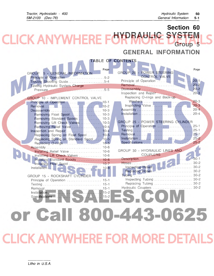Section 60 CK ANYWHERE FOR RAUHE SYSTEM Group 5

GENERAL INFORMATION

|                                            | <b>TABLE OF CONTENTS</b>                                                   |
|--------------------------------------------|----------------------------------------------------------------------------|
|                                            |                                                                            |
| Page                                       | Page                                                                       |
| GROUP 5 - GENERAL INFORMATION              | GROUP 20 - POWER STEERING<br>CONTROL VALVE                                 |
| Principle of Operation 5-2                 | $20 - 1$<br>Principle of Operation                                         |
| Trouble Shooting Guide5-4                  | $\therefore$ 20-2<br>Removal                                               |
| Testing Hydraulic System Charge<br>$5 - 5$ |                                                                            |
| Pressure                                   | Inspection and Repair  20-3                                                |
| <b>GROUP 10 - IMPLEMENT CONTROL VALVE</b>  | Replacing O-rings and Back-up                                              |
|                                            | $20 - 3$<br>Washers                                                        |
|                                            |                                                                            |
|                                            |                                                                            |
|                                            |                                                                            |
| Removing Standard Spools  10-3             |                                                                            |
| Removing Lift Check Valves  10-3           | GROUP 25 - POWER STEERING CYLINDER                                         |
| Removing Relief Valve  10-4                |                                                                            |
| Inspection and Repair  10-4                |                                                                            |
| Replacing Spring on Float Spool 10-5       |                                                                            |
| Replacing Spring on Standard Spool 10-5    |                                                                            |
|                                            |                                                                            |
|                                            | GROUP 30 - HYDRAULIC LINES AND                                             |
| Installing Relief Valve  10-6              | <b>COUPLERS</b>                                                            |
| Installing Lift Check Valves  10-6         | $30-1$                                                                     |
| Installing Standard Spools  10-6           |                                                                            |
| Installing Float Spool  10-7               | Hoses<br>Inspecting Hoses<br>Notes<br>1994<br>20-2<br>20-2<br>20-2<br>20-2 |
|                                            |                                                                            |
| GROUP 15 - ROCKSHAFT CYLINDER              |                                                                            |
| Principle of Operation  15-1               | Inspecting Tubing  30-2                                                    |
|                                            | Replacing Tubing  30-2                                                     |
|                                            | Hydraulic Couplers  30-2                                                   |
| $15 - 2$                                   |                                                                            |
| $15 - 2$                                   |                                                                            |
|                                            |                                                                            |
|                                            |                                                                            |
|                                            |                                                                            |
|                                            |                                                                            |
|                                            |                                                                            |

## **LICK ANYWHERE FOR MORE DETAI**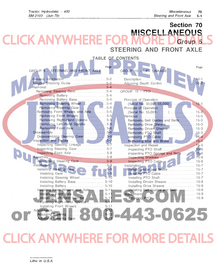### Section 70 **MISCELLANEOUS** KA RE F Group 5 STEERING AND FRONT AXLE

| TABLE OF CONTENTS                                    |                                             |  |  |
|------------------------------------------------------|---------------------------------------------|--|--|
| Page<br>GROUP 5 - STEERING AND FRONT AXLE            | Page<br>GROUP 10 - LIFT LINKAGE             |  |  |
| General Information 5-2<br>Trouble Shooting Guide5-3 | $10-1$<br>$10-2$<br>Adjusting Depth Control |  |  |
| Removing Steering Gear5-4<br>Removing Battery 5-4    | GROUP 15 - PTO                              |  |  |
| Removing Battery Base 5-4                            | Principle of Operation                      |  |  |
| Removing Steering Wheel 5-4                          | (Serial No. 30,001-55,000)  15-1            |  |  |
| Removing Steering Gear5-4                            | Principle of Operation                      |  |  |
| Removing Front Wheels and Axle5-5                    | (Serial No. 55,001-                         |  |  |
| Removing Front Wheels 5-5                            | Removal<br>. 15-3                           |  |  |
| Removing Right-Hand Spindle 5-5                      | Removing Belt Guides and Belts  15-3        |  |  |
| Removing Left-Hand Spindle 5-5                       | Removing Drive Sheave  15-3                 |  |  |
| Removing Front Axle 5-6                              | Removing Driven Sheave  15-3                |  |  |
|                                                      |                                             |  |  |
| Disassembling Steering Gear 5-6                      |                                             |  |  |
| Inspection and Repair 5-7                            | Removing Idler and Brake  15-4              |  |  |
| Inspecting Steering Linkage5-7                       |                                             |  |  |
| Inspecting Steering Gear5-7                          | Inspecting PTO Shaft 15-6                   |  |  |
| Inspecting Front Axle 5-8                            | inspecting PTO Springs and Belts  15-6      |  |  |
|                                                      |                                             |  |  |
| Assembling Steering Gear5-8<br>$5 - 9$               | Inspecting PTO Cable                        |  |  |
| Installing Steering Gear 5-9                         | Installing Idler and Brake  15-7            |  |  |
|                                                      | Installing PTO Cable  15-7                  |  |  |
| Installing Steering Wheel 5-10                       | Installing PTO Shaft 15-7                   |  |  |
| Installing Battery Base  5-10                        | Installing Driven Sheave  15-8              |  |  |
| Installing Battery  5-10                             | Installing Drive Sheave  15-8               |  |  |
| Installing Front Wheels and Axle 5-11                | Installing Belt Guides and Belts 15-8       |  |  |
| $5 - 11$                                             |                                             |  |  |
| Installing Left-Hand Spindle  5-11                   |                                             |  |  |
| Installing Right-Hand Spindle<br>$5 - 11$            |                                             |  |  |
| Installing Front Wheels  5-11                        |                                             |  |  |
| $5 - 12$                                             |                                             |  |  |
| $5 - 12$<br>Adjusting Steering                       |                                             |  |  |

## **RE FOR MORE KAN** F

Adjusting Steering Gear ................ 5-13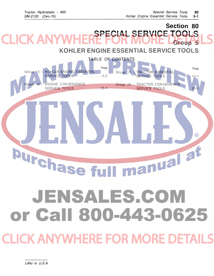## Section 80 SPECIAL SERVICE TOOLS Group 5

## KOHLER ENGINE ESSENTIAL SERVICE TOOLS

| TABLE OF CONTENTS                                                                                                                                                                                              |                                                |
|----------------------------------------------------------------------------------------------------------------------------------------------------------------------------------------------------------------|------------------------------------------------|
| Page<br>KOHLER ENGINE ESSENTIAL<br>Group 5<br><b>TRACTOR ESSENTIAL</b><br>Group 15 -<br>SERVICE TOOLS<br>$5 - 2$<br>SERVICE TOOLS<br><b>ENGINE CONVENIENCE</b><br>Group 20 - TRACTOR CONVENIENCE<br>Group 10 - | Page<br>$15 - 1$                               |
| <b>SERVICE TOOLS</b><br><b>SERVICE TOOLS</b><br>10-1                                                                                                                                                           | $20 -$<br>$\left( \widehat{\mathsf{R}}\right)$ |
| <b>1anual al</b><br><b>Irchase fr</b>                                                                                                                                                                          |                                                |
| JENSALES.COM<br>or Call 800-443-0625                                                                                                                                                                           |                                                |
| <b>CLICK ANYWHERE FOR MORE DETAILS</b>                                                                                                                                                                         |                                                |